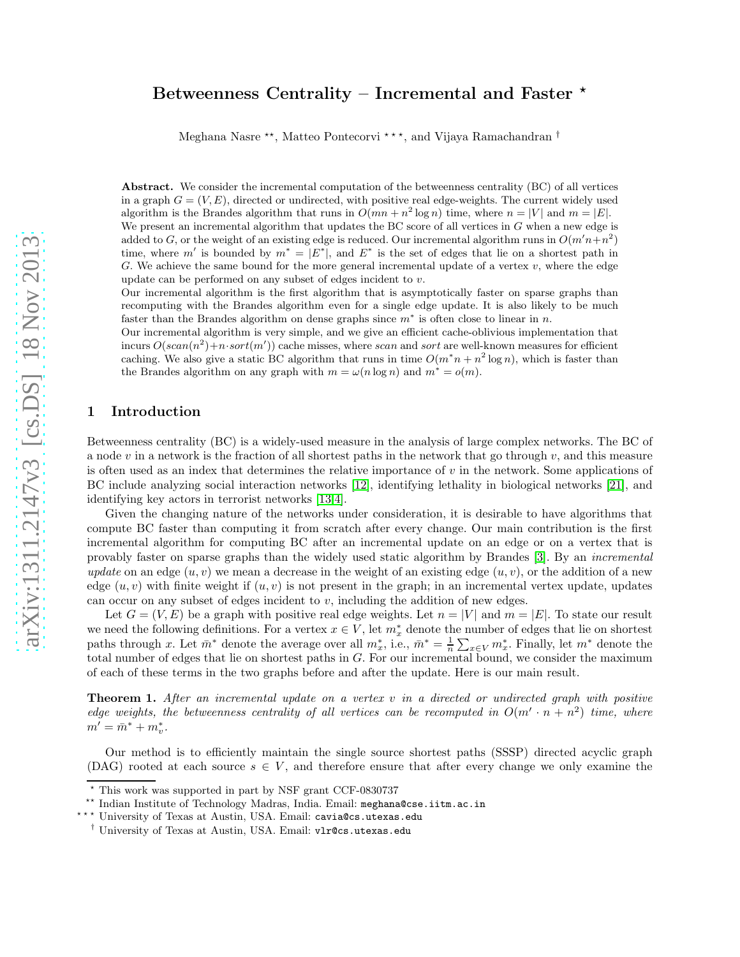# Betweenness Centrality – Incremental and Faster  $*$

Meghana Nasre <sup>\*\*</sup>, Matteo Pontecorvi \*\*\*, and Vijaya Ramachandran  $^{\dagger}$ 

Abstract. We consider the incremental computation of the betweenness centrality (BC) of all vertices in a graph  $G = (V, E)$ , directed or undirected, with positive real edge-weights. The current widely used algorithm is the Brandes algorithm that runs in  $O(mn + n^2 \log n)$  time, where  $n = |V|$  and  $m = |E|$ . We present an incremental algorithm that updates the BC score of all vertices in  $G$  when a new edge is added to G, or the weight of an existing edge is reduced. Our incremental algorithm runs in  $O(m'n + n^2)$ time, where m' is bounded by  $m^* = |E^*|$ , and  $E^*$  is the set of edges that lie on a shortest path in G. We achieve the same bound for the more general incremental update of a vertex  $v$ , where the edge update can be performed on any subset of edges incident to v.

Our incremental algorithm is the first algorithm that is asymptotically faster on sparse graphs than recomputing with the Brandes algorithm even for a single edge update. It is also likely to be much faster than the Brandes algorithm on dense graphs since  $m^*$  is often close to linear in n.

Our incremental algorithm is very simple, and we give an efficient cache-oblivious implementation that incurs  $O(scan(n^2) + n\cdot sort(m'))$  cache misses, where scan and sort are well-known measures for efficient caching. We also give a static BC algorithm that runs in time  $O(m^*n + n^2 \log n)$ , which is faster than the Brandes algorithm on any graph with  $m = \omega(n \log n)$  and  $m^* = o(m)$ .

# <span id="page-0-1"></span>1 Introduction

Betweenness centrality (BC) is a widely-used measure in the analysis of large complex networks. The BC of a node v in a network is the fraction of all shortest paths in the network that go through  $v$ , and this measure is often used as an index that determines the relative importance of  $v$  in the network. Some applications of BC include analyzing social interaction networks [\[12\]](#page-10-0), identifying lethality in biological networks [\[21\]](#page-10-1), and identifying key actors in terrorist networks [\[13,](#page-10-2)[4\]](#page-10-3).

Given the changing nature of the networks under consideration, it is desirable to have algorithms that compute BC faster than computing it from scratch after every change. Our main contribution is the first incremental algorithm for computing BC after an incremental update on an edge or on a vertex that is provably faster on sparse graphs than the widely used static algorithm by Brandes [\[3\]](#page-10-4). By an *incremental update* on an edge  $(u, v)$  we mean a decrease in the weight of an existing edge  $(u, v)$ , or the addition of a new edge  $(u, v)$  with finite weight if  $(u, v)$  is not present in the graph; in an incremental vertex update, updates can occur on any subset of edges incident to  $v$ , including the addition of new edges.

Let  $G = (V, E)$  be a graph with positive real edge weights. Let  $n = |V|$  and  $m = |E|$ . To state our result we need the following definitions. For a vertex  $x \in V$ , let  $m_x^*$  denote the number of edges that lie on shortest paths through x. Let  $\bar{m}^*$  denote the average over all  $m_x^*$ , i.e.,  $\bar{m}^* = \frac{1}{n} \sum_{x \in V} m_x^*$ . Finally, let  $m^*$  denote the total number of edges that lie on shortest paths in G. For our incremental bound, we consider the maximum of each of these terms in the two graphs before and after the update. Here is our main result.

<span id="page-0-0"></span>Theorem 1. *After an incremental update on a vertex* v *in a directed or undirected graph with positive edge weights, the betweenness centrality of all vertices can be recomputed in*  $O(m' \cdot n + n^2)$  *time, where*  $m' = \bar{m}^* + m_v^*$ .

Our method is to efficiently maintain the single source shortest paths (SSSP) directed acyclic graph (DAG) rooted at each source  $s \in V$ , and therefore ensure that after every change we only examine the

<sup>⋆</sup> This work was supported in part by NSF grant CCF-0830737

<sup>\*\*</sup> Indian Institute of Technology Madras, India. Email: meghana@cse.iitm.ac.in

<sup>\*\*\*</sup> University of Texas at Austin, USA. Email: cavia@cs.utexas.edu

<sup>†</sup> University of Texas at Austin, USA. Email: vlr@cs.utexas.edu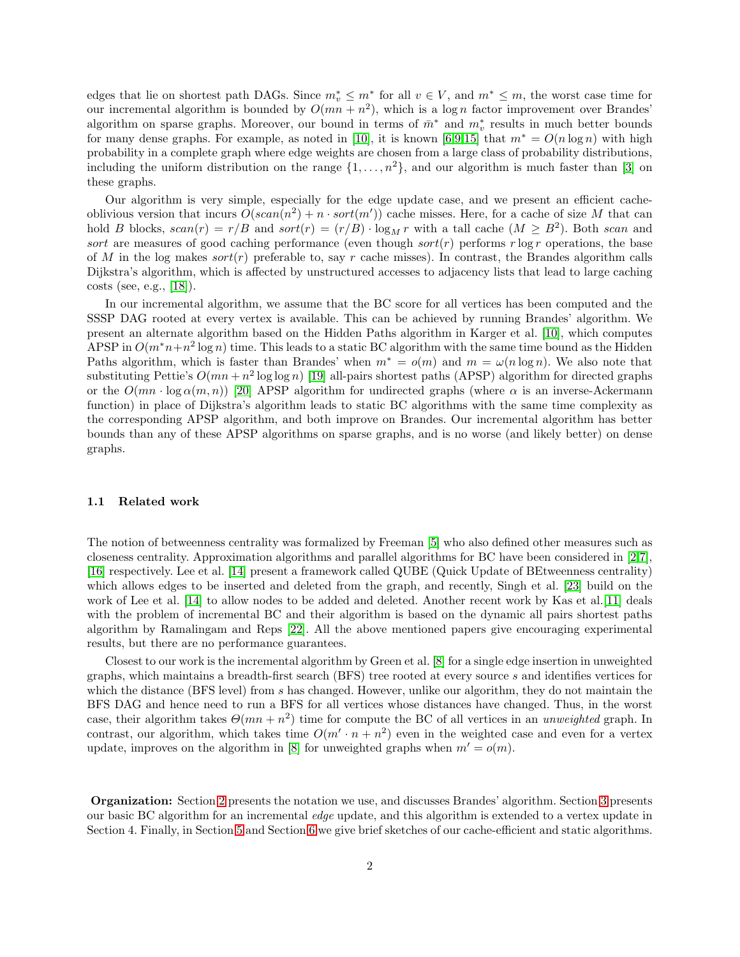edges that lie on shortest path DAGs. Since  $m_v^* \leq m^*$  for all  $v \in V$ , and  $m^* \leq m$ , the worst case time for our incremental algorithm is bounded by  $O(mn + n^2)$ , which is a log *n* factor improvement over Brandes' algorithm on sparse graphs. Moreover, our bound in terms of  $\bar{m}^*$  and  $m^*_{v}$  results in much better bounds for many dense graphs. For example, as noted in [\[10\]](#page-10-5), it is known [\[6](#page-10-6)[,9](#page-10-7)[,15\]](#page-10-8) that  $m^* = O(n \log n)$  with high probability in a complete graph where edge weights are chosen from a large class of probability distributions, including the uniform distribution on the range  $\{1, \ldots, n^2\}$ , and our algorithm is much faster than [\[3\]](#page-10-4) on these graphs.

Our algorithm is very simple, especially for the edge update case, and we present an efficient cacheoblivious version that incurs  $O(scan(n^2) + n \cdot sort(m'))$  cache misses. Here, for a cache of size M that can hold B blocks,  $scan(r) = r/B$  and  $sort(r) = (r/B) \cdot \log_M r$  with a tall cache  $(M \geq B^2)$ . Both scan and sort are measures of good caching performance (even though sort(r) performs r log r operations, the base of M in the log makes  $sort(r)$  preferable to, say r cache misses). In contrast, the Brandes algorithm calls Dijkstra's algorithm, which is affected by unstructured accesses to adjacency lists that lead to large caching costs (see, e.g., [\[18\]](#page-10-9)).

In our incremental algorithm, we assume that the BC score for all vertices has been computed and the SSSP DAG rooted at every vertex is available. This can be achieved by running Brandes' algorithm. We present an alternate algorithm based on the Hidden Paths algorithm in Karger et al. [\[10\]](#page-10-5), which computes APSP in  $O(m^*n+n^2 \log n)$  time. This leads to a static BC algorithm with the same time bound as the Hidden Paths algorithm, which is faster than Brandes' when  $m^* = o(m)$  and  $m = \omega(n \log n)$ . We also note that substituting Pettie's  $O(mn + n^2 \log \log n)$  [\[19\]](#page-10-10) all-pairs shortest paths (APSP) algorithm for directed graphs or the  $O(mn \cdot \log \alpha(m, n))$  [\[20\]](#page-10-11) APSP algorithm for undirected graphs (where  $\alpha$  is an inverse-Ackermann function) in place of Dijkstra's algorithm leads to static BC algorithms with the same time complexity as the corresponding APSP algorithm, and both improve on Brandes. Our incremental algorithm has better bounds than any of these APSP algorithms on sparse graphs, and is no worse (and likely better) on dense graphs.

#### 1.1 Related work

The notion of betweenness centrality was formalized by Freeman [\[5\]](#page-10-12) who also defined other measures such as closeness centrality. Approximation algorithms and parallel algorithms for BC have been considered in [\[2](#page-10-13)[,7\]](#page-10-14), [\[16\]](#page-10-15) respectively. Lee et al. [\[14\]](#page-10-16) present a framework called QUBE (Quick Update of BEtweenness centrality) which allows edges to be inserted and deleted from the graph, and recently, Singh et al. [\[23\]](#page-10-17) build on the work of Lee et al. [\[14\]](#page-10-16) to allow nodes to be added and deleted. Another recent work by Kas et al.[\[11\]](#page-10-18) deals with the problem of incremental BC and their algorithm is based on the dynamic all pairs shortest paths algorithm by Ramalingam and Reps [\[22\]](#page-10-19). All the above mentioned papers give encouraging experimental results, but there are no performance guarantees.

Closest to our work is the incremental algorithm by Green et al. [\[8\]](#page-10-20) for a single edge insertion in unweighted graphs, which maintains a breadth-first search (BFS) tree rooted at every source s and identifies vertices for which the distance (BFS level) from s has changed. However, unlike our algorithm, they do not maintain the BFS DAG and hence need to run a BFS for all vertices whose distances have changed. Thus, in the worst case, their algorithm takes  $\Theta(mn + n^2)$  time for compute the BC of all vertices in an *unweighted* graph. In contrast, our algorithm, which takes time  $O(m' \cdot n + n^2)$  even in the weighted case and even for a vertex update, improves on the algorithm in [\[8\]](#page-10-20) for unweighted graphs when  $m' = o(m)$ .

Organization: Section [2](#page-2-0) presents the notation we use, and discusses Brandes' algorithm. Section [3](#page-3-0) presents our basic BC algorithm for an incremental *edge* update, and this algorithm is extended to a vertex update in Section 4. Finally, in Section [5](#page-8-0) and Section [6](#page-9-0) we give brief sketches of our cache-efficient and static algorithms.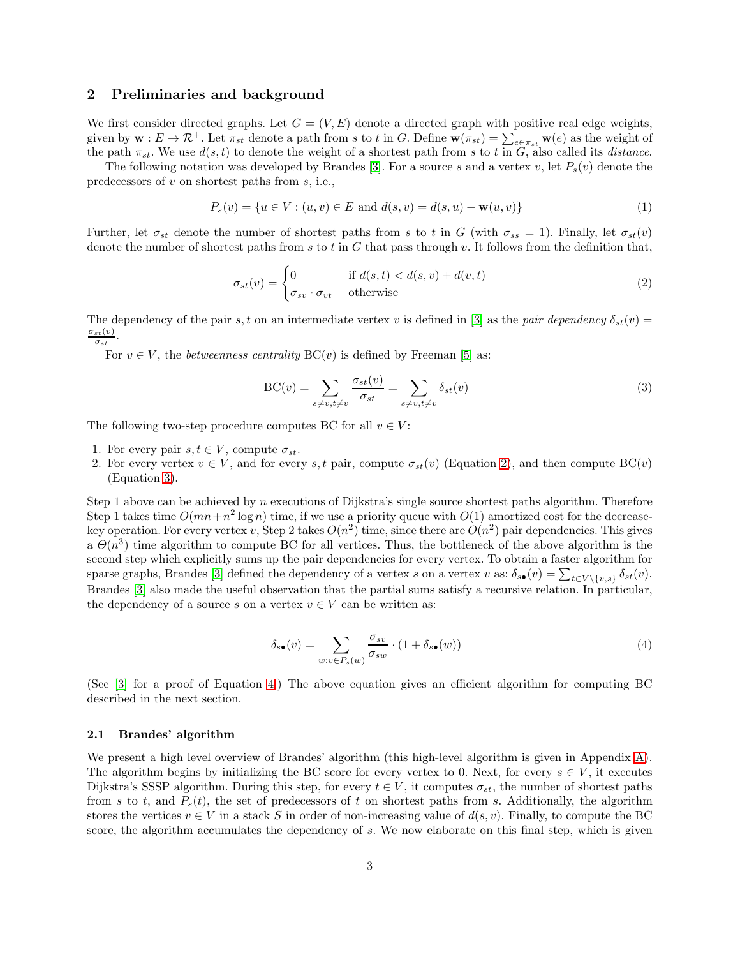### <span id="page-2-0"></span>2 Preliminaries and background

We first consider directed graphs. Let  $G = (V, E)$  denote a directed graph with positive real edge weights, given by  $\mathbf{w}: E \to \mathcal{R}^+$ . Let  $\pi_{st}$  denote a path from s to t in G. Define  $\mathbf{w}(\pi_{st}) = \sum_{e \in \pi_{st}} \mathbf{w}(e)$  as the weight of the path  $\pi_{st}$ . We use  $d(s, t)$  to denote the weight of a shortest path from s to t in  $\tilde{G}$ , also called its *distance*.

The following notation was developed by Brandes [\[3\]](#page-10-4). For a source s and a vertex v, let  $P_s(v)$  denote the predecessors of v on shortest paths from s, i.e.,

$$
P_s(v) = \{ u \in V : (u, v) \in E \text{ and } d(s, v) = d(s, u) + \mathbf{w}(u, v) \}
$$
(1)

Further, let  $\sigma_{st}$  denote the number of shortest paths from s to t in G (with  $\sigma_{ss} = 1$ ). Finally, let  $\sigma_{st}(v)$ denote the number of shortest paths from s to t in G that pass through v. It follows from the definition that,

<span id="page-2-1"></span>
$$
\sigma_{st}(v) = \begin{cases} 0 & \text{if } d(s,t) < d(s,v) + d(v,t) \\ \sigma_{sv} \cdot \sigma_{vt} & \text{otherwise} \end{cases}
$$
 (2)

The dependency of the pair s, t on an intermediate vertex v is defined in [\[3\]](#page-10-4) as the *pair dependency*  $\delta_{st}(v)$  =  $\sigma_{st}(v)$  $\frac{st(v)}{\sigma_{st}}$ .

For  $v \in V$ , the *betweenness centrality*  $BC(v)$  is defined by Freeman [\[5\]](#page-10-12) as:

<span id="page-2-2"></span>
$$
BC(v) = \sum_{s \neq v, t \neq v} \frac{\sigma_{st}(v)}{\sigma_{st}} = \sum_{s \neq v, t \neq v} \delta_{st}(v)
$$
\n(3)

The following two-step procedure computes BC for all  $v \in V$ :

- 1. For every pair  $s, t \in V$ , compute  $\sigma_{st}$ .
- 2. For every vertex  $v \in V$ , and for every s, t pair, compute  $\sigma_{st}(v)$  (Equation [2\)](#page-2-1), and then compute  $BC(v)$ (Equation [3\)](#page-2-2).

Step 1 above can be achieved by n executions of Dijkstra's single source shortest paths algorithm. Therefore Step 1 takes time  $O(mn + n^2 \log n)$  time, if we use a priority queue with  $O(1)$  amortized cost for the decreasekey operation. For every vertex v, Step 2 takes  $O(n^2)$  time, since there are  $O(n^2)$  pair dependencies. This gives a  $\Theta(n^3)$  time algorithm to compute BC for all vertices. Thus, the bottleneck of the above algorithm is the second step which explicitly sums up the pair dependencies for every vertex. To obtain a faster algorithm for sparse graphs, Brandes [\[3\]](#page-10-4) defined the dependency of a vertex s on a vertex v as:  $\delta_{s\bullet}(v) = \sum_{t \in V \setminus \{v,s\}} \delta_{st}(v)$ . Brandes [\[3\]](#page-10-4) also made the useful observation that the partial sums satisfy a recursive relation. In particular, the dependency of a source s on a vertex  $v \in V$  can be written as:

<span id="page-2-3"></span>
$$
\delta_{s\bullet}(v) = \sum_{w:v \in P_s(w)} \frac{\sigma_{sv}}{\sigma_{sw}} \cdot (1 + \delta_{s\bullet}(w)) \tag{4}
$$

(See [\[3\]](#page-10-4) for a proof of Equation [4.](#page-2-3)) The above equation gives an efficient algorithm for computing BC described in the next section.

### 2.1 Brandes' algorithm

We present a high level overview of Brandes' algorithm (this high-level algorithm is given in Appendix [A\)](#page-10-21). The algorithm begins by initializing the BC score for every vertex to 0. Next, for every  $s \in V$ , it executes Dijkstra's SSSP algorithm. During this step, for every  $t \in V$ , it computes  $\sigma_{st}$ , the number of shortest paths from s to t, and  $P_s(t)$ , the set of predecessors of t on shortest paths from s. Additionally, the algorithm stores the vertices  $v \in V$  in a stack S in order of non-increasing value of  $d(s, v)$ . Finally, to compute the BC score, the algorithm accumulates the dependency of s. We now elaborate on this final step, which is given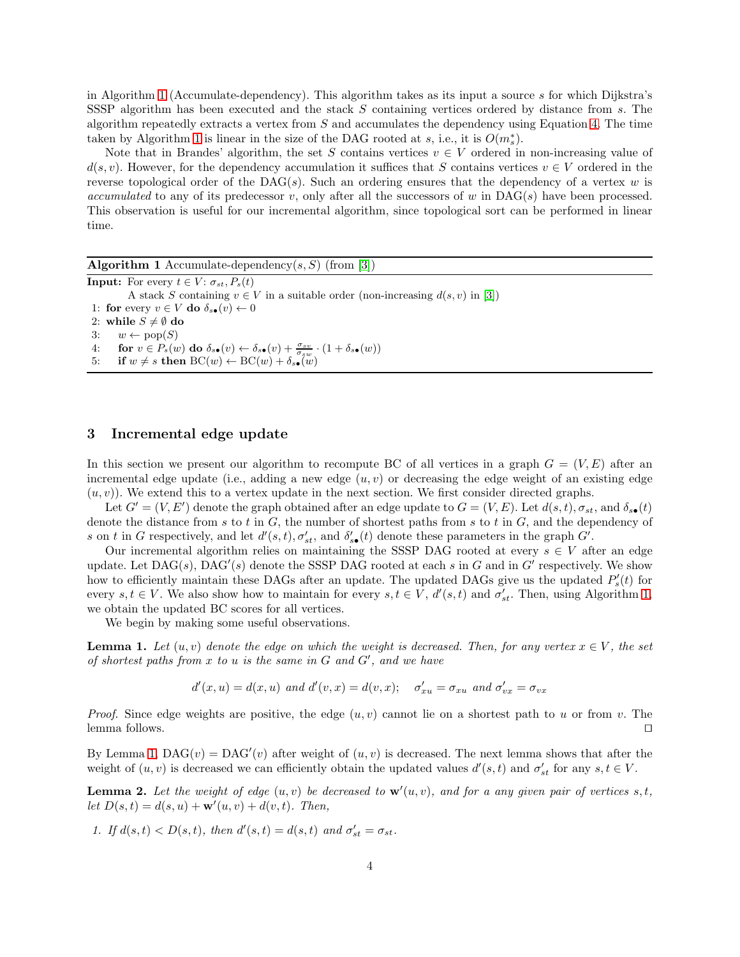in Algorithm [1](#page-3-1) (Accumulate-dependency). This algorithm takes as its input a source s for which Dijkstra's SSSP algorithm has been executed and the stack S containing vertices ordered by distance from s. The algorithm repeatedly extracts a vertex from  $S$  and accumulates the dependency using Equation [4.](#page-2-3) The time taken by Algorithm [1](#page-3-1) is linear in the size of the DAG rooted at s, i.e., it is  $O(m_s^*)$ .

Note that in Brandes' algorithm, the set S contains vertices  $v \in V$  ordered in non-increasing value of  $d(s, v)$ . However, for the dependency accumulation it suffices that S contains vertices  $v \in V$  ordered in the reverse topological order of the DAG(s). Such an ordering ensures that the dependency of a vertex w is *accumulated* to any of its predecessor v, only after all the successors of w in  $\text{DAG}(s)$  have been processed. This observation is useful for our incremental algorithm, since topological sort can be performed in linear time.

<span id="page-3-1"></span>

| <b>Algorithm 1</b> Accumulate-dependency(s, S) (from [3])                                                                                             |
|-------------------------------------------------------------------------------------------------------------------------------------------------------|
| <b>Input:</b> For every $t \in V$ : $\sigma_{st}$ , $P_s(t)$                                                                                          |
| A stack S containing $v \in V$ in a suitable order (non-increasing $d(s, v)$ in [3])                                                                  |
| 1: for every $v \in V$ do $\delta_{s\bullet}(v) \leftarrow 0$                                                                                         |
| 2: while $S \neq \emptyset$ do                                                                                                                        |
| 3: $w \leftarrow \text{pop}(S)$                                                                                                                       |
| for $v \in P_s(w)$ do $\delta_{s\bullet}(v) \leftarrow \delta_{s\bullet}(v) + \frac{\sigma_{sv}}{\sigma_{sw}} \cdot (1 + \delta_{s\bullet}(w))$<br>4: |
| if $w \neq s$ then $BC(w) \leftarrow BC(w) + \delta_{s\bullet}(w)$<br>5:                                                                              |

### <span id="page-3-0"></span>3 Incremental edge update

In this section we present our algorithm to recompute BC of all vertices in a graph  $G = (V, E)$  after an incremental edge update (i.e., adding a new edge  $(u, v)$  or decreasing the edge weight of an existing edge  $(u, v)$ ). We extend this to a vertex update in the next section. We first consider directed graphs.

Let  $G' = (V, E')$  denote the graph obtained after an edge update to  $G = (V, E)$ . Let  $d(s, t)$ ,  $\sigma_{st}$ , and  $\delta_{s \bullet}(t)$ denote the distance from s to t in  $G$ , the number of shortest paths from s to t in  $G$ , and the dependency of s on t in G respectively, and let  $d'(s,t)$ ,  $\sigma'_{st}$ , and  $\delta'_{s\bullet}(t)$  denote these parameters in the graph  $G'$ .

Our incremental algorithm relies on maintaining the SSSP DAG rooted at every  $s \in V$  after an edge update. Let  $\text{DAG}(s)$ ,  $\text{DAG}'(s)$  denote the SSSP DAG rooted at each s in G and in G' respectively. We show how to efficiently maintain these DAGs after an update. The updated DAGs give us the updated  $P'_{s}(t)$  for every  $s, t \in V$ . We also show how to maintain for every  $s, t \in V$ ,  $d'(s,t)$  and  $\sigma'_{st}$ . Then, using Algorithm [1,](#page-3-1) we obtain the updated BC scores for all vertices.

We begin by making some useful observations.

**Lemma 1.** Let  $(u, v)$  denote the edge on which the weight is decreased. Then, for any vertex  $x \in V$ , the set *of shortest paths from* x *to* u *is the same in* G *and* G′ *, and we have*

<span id="page-3-3"></span><span id="page-3-2"></span>
$$
d'(x, u) = d(x, u)
$$
 and  $d'(v, x) = d(v, x);$   $\sigma'_{xu} = \sigma_{xu}$  and  $\sigma'_{vx} = \sigma_{vx}$ 

*Proof.* Since edge weights are positive, the edge  $(u, v)$  cannot lie on a shortest path to u or from v. The lemma follows. ⊓⊔

By Lemma [1,](#page-3-2)  $DAG(v) = DAG'(v)$  after weight of  $(u, v)$  is decreased. The next lemma shows that after the weight of  $(u, v)$  is decreased we can efficiently obtain the updated values  $d'(s,t)$  and  $\sigma'_{st}$  for any  $s, t \in V$ .

**Lemma 2.** Let the weight of edge  $(u, v)$  be decreased to  $\mathbf{w}'(u, v)$ , and for a any given pair of vertices  $s, t$ , *let*  $D(s,t) = d(s, u) + \mathbf{w}'(u, v) + d(v, t)$ *. Then,* 

*1.* If  $d(s, t) < D(s, t)$ , then  $d'(s, t) = d(s, t)$  and  $\sigma'_{st} = \sigma_{st}$ .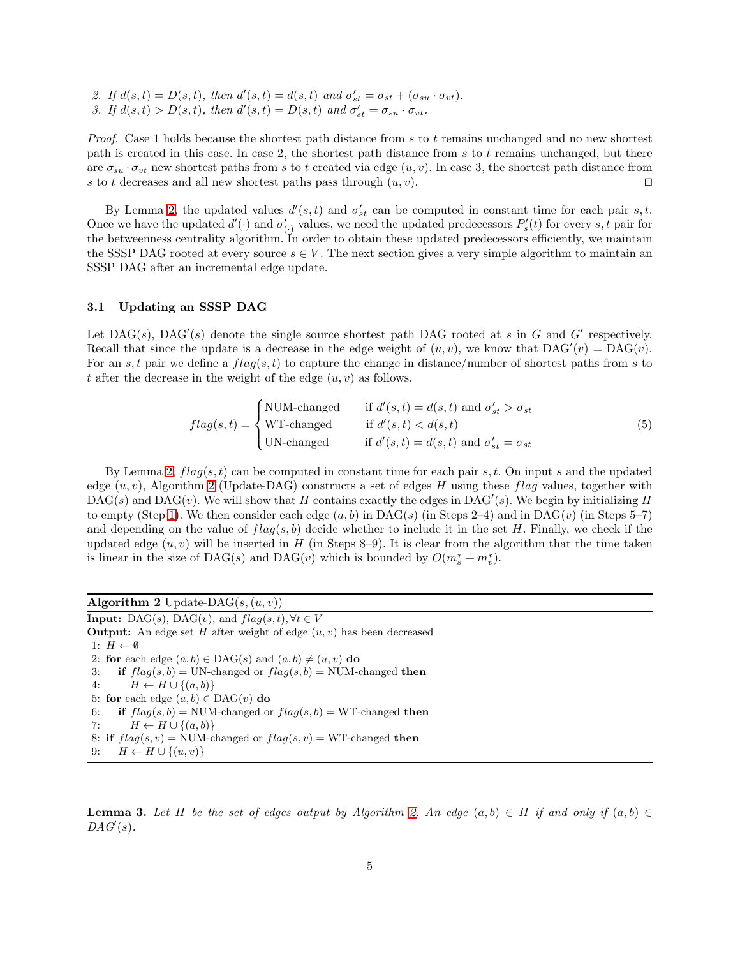2. If  $d(s,t) = D(s,t)$ , then  $d'(s,t) = d(s,t)$  and  $\sigma'_{st} = \sigma_{st} + (\sigma_{su} \cdot \sigma_{vt})$ . 3. If  $d(s,t) > D(s,t)$ , then  $d'(s,t) = D(s,t)$  and  $\sigma'_{st} = \sigma_{su} \cdot \sigma_{vt}$ .

*Proof.* Case 1 holds because the shortest path distance from s to t remains unchanged and no new shortest path is created in this case. In case 2, the shortest path distance from s to t remains unchanged, but there are  $\sigma_{su} \cdot \sigma_{vt}$  new shortest paths from s to t created via edge  $(u, v)$ . In case 3, the shortest path distance from s to t decreases and all new shortest paths pass through  $(u, v)$ . □

By Lemma [2,](#page-3-3) the updated values  $d'(s,t)$  and  $\sigma'_{st}$  can be computed in constant time for each pair s, t. Once we have the updated  $d'(\cdot)$  and  $\sigma'_{(\cdot)}$  values, we need the updated predecessors  $P'_s(t)$  for every s, t pair for the betweenness centrality algorithm. In order to obtain these updated predecessors efficiently, we maintain the SSSP DAG rooted at every source  $s \in V$ . The next section gives a very simple algorithm to maintain an SSSP DAG after an incremental edge update.

#### 3.1 Updating an SSSP DAG

Let  $\text{DAG}(s)$ ,  $\text{DAG}'(s)$  denote the single source shortest path DAG rooted at s in G and G' respectively. Recall that since the update is a decrease in the edge weight of  $(u, v)$ , we know that  $DAG'(v) = DAG(v)$ . For an s, t pair we define a  $flag(s, t)$  to capture the change in distance/number of shortest paths from s to t after the decrease in the weight of the edge  $(u, v)$  as follows.

<span id="page-4-1"></span>
$$
flag(s,t) = \begin{cases} \text{NUM-changed} & \text{if } d'(s,t) = d(s,t) \text{ and } \sigma'_{st} > \sigma_{st} \\ \text{WT-changed} & \text{if } d'(s,t) < d(s,t) \\ \text{UN-changed} & \text{if } d'(s,t) = d(s,t) \text{ and } \sigma'_{st} = \sigma_{st} \end{cases} \tag{5}
$$

By Lemma [2,](#page-3-3)  $flag(s, t)$  can be computed in constant time for each pair s, t. On input s and the updated edge  $(u, v)$ , Algorithm [2](#page-4-0) (Update-DAG) constructs a set of edges H using these flag values, together with  $\text{DAG}(s)$  and  $\text{DAG}(v)$ . We will show that H contains exactly the edges in  $\text{DAG}'(s)$ . We begin by initializing H to empty (Step [1\)](#page-4-1). We then consider each edge  $(a, b)$  in DAG(s) (in Steps 2–4) and in DAG(v) (in Steps 5–7) and depending on the value of  $flag(s, b)$  decide whether to include it in the set H. Finally, we check if the updated edge  $(u, v)$  will be inserted in H (in Steps 8–9). It is clear from the algorithm that the time taken is linear in the size of DAG(s) and DAG(v) which is bounded by  $O(m_s^* + m_v^*)$ .

<span id="page-4-0"></span>

| Algorithm 2 Update-DAG $(s, (u, v))$                                                  |
|---------------------------------------------------------------------------------------|
| <b>Input:</b> DAG(s), DAG(v), and $flag(s,t), \forall t \in V$                        |
| <b>Output:</b> An edge set H after weight of edge $(u, v)$ has been decreased         |
| 1: $H \leftarrow \emptyset$                                                           |
| 2: for each edge $(a, b) \in DAG(s)$ and $(a, b) \neq (u, v)$ do                      |
| if $flag(s, b) = UN$ -changed or $flag(s, b) = NUM$ -changed then<br>3:               |
| $H \leftarrow H \cup \{(a, b)\}\$<br>4:                                               |
| 5: for each edge $(a, b) \in DAG(v)$ do                                               |
| <b>if</b> $flag(s, b) = NUM$ -changed or $flag(s, b) = WT$ -changed <b>then</b><br>6: |
| $H \leftarrow H \cup \{(a, b)\}\$<br>7:                                               |
| 8: if $flag(s, v) = NUM$ -changed or $flag(s, v) = WT$ -changed then                  |
| $H \leftarrow H \cup \{(u, v)\}\$<br>9:                                               |

**Lemma 3.** Let H be the set of edges output by Algorithm [2.](#page-4-0) An edge  $(a, b) \in H$  if and only if  $(a, b) \in H$  $DAG'(s)$ .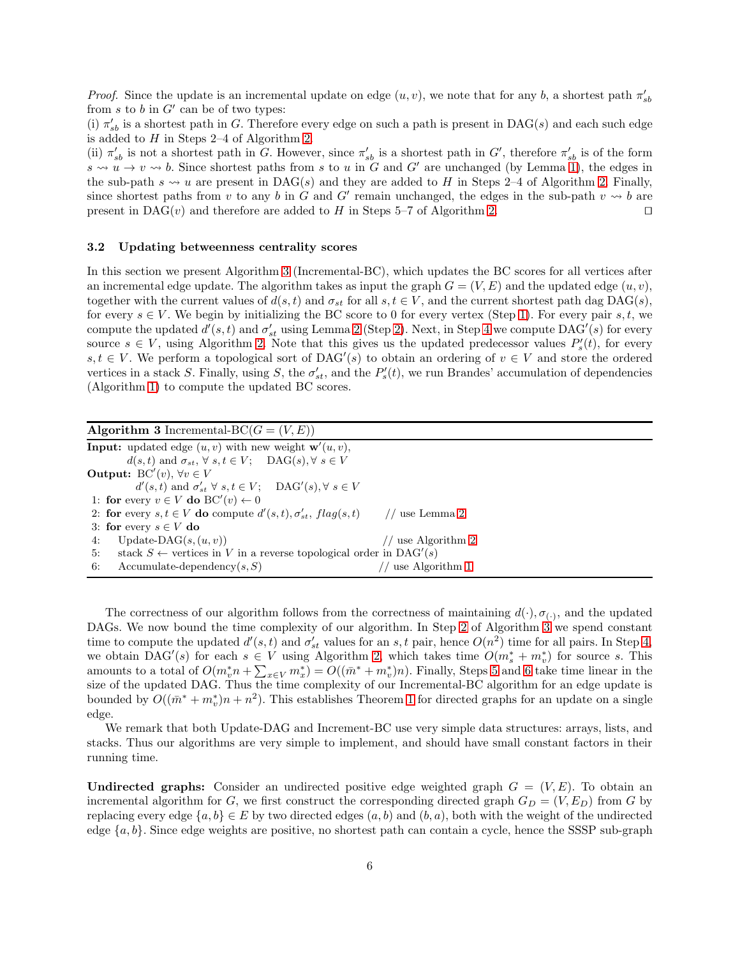*Proof.* Since the update is an incremental update on edge  $(u, v)$ , we note that for any b, a shortest path  $\pi'_{sb}$ from  $s$  to  $b$  in  $G'$  can be of two types:

(i)  $\pi'_{sb}$  is a shortest path in G. Therefore every edge on such a path is present in DAG(s) and each such edge is added to  $H$  in Steps 2–4 of Algorithm [2.](#page-4-0)

(ii)  $\pi'_{sb}$  is not a shortest path in G. However, since  $\pi'_{sb}$  is a shortest path in G', therefore  $\pi'_{sb}$  is of the form  $s \leadsto u \rightarrow v \leadsto b$ . Since shortest paths from s to u in G and G' are unchanged (by Lemma [1\)](#page-3-2), the edges in the sub-path  $s \leadsto u$  are present in DAG(s) and they are added to H in Steps 2–4 of Algorithm [2.](#page-4-0) Finally, since shortest paths from v to any b in G and G' remain unchanged, the edges in the sub-path  $v \leadsto b$  are present in DAG(v) and therefore are added to H in Steps 5–7 of Algorithm [2.](#page-4-0) □

#### 3.2 Updating betweenness centrality scores

In this section we present Algorithm [3](#page-5-0) (Incremental-BC), which updates the BC scores for all vertices after an incremental edge update. The algorithm takes as input the graph  $G = (V, E)$  and the updated edge  $(u, v)$ , together with the current values of  $d(s, t)$  and  $\sigma_{st}$  for all  $s, t \in V$ , and the current shortest path dag DAG(s), for every  $s \in V$ . We begin by initializing the BC score to 0 for every vertex (Step [1\)](#page-5-1). For every pair s, t, we compute the updated  $d'(s,t)$  and  $\sigma'_{st}$  using Lemma [2](#page-3-3) (Step [2\)](#page-5-2). Next, in Step [4](#page-5-3) we compute DAG'(s) for every source  $s \in V$ , using Algorithm [2.](#page-4-0) Note that this gives us the updated predecessor values  $P'_s(t)$ , for every s, t ∈ V. We perform a topological sort of DAG'(s) to obtain an ordering of  $v \in V$  and store the ordered vertices in a stack S. Finally, using S, the  $\sigma'_{st}$ , and the  $P'_{s}(t)$ , we run Brandes' accumulation of dependencies (Algorithm [1\)](#page-3-1) to compute the updated BC scores.

<span id="page-5-2"></span><span id="page-5-1"></span><span id="page-5-0"></span>

| <b>Algorithm 3</b> Incremental-BC $(G = (V, E))$                                            |                    |  |
|---------------------------------------------------------------------------------------------|--------------------|--|
| <b>Input:</b> updated edge $(u, v)$ with new weight $\mathbf{w}'(u, v)$ ,                   |                    |  |
| $d(s,t)$ and $\sigma_{st}$ , $\forall s,t \in V$ ; DAG(s), $\forall s \in V$                |                    |  |
| <b>Output:</b> BC'(v), $\forall v \in V$                                                    |                    |  |
| $d'(s,t)$ and $\sigma'_{st} \ \forall \ s,t \in V; \quad \text{DAG}'(s), \forall \ s \in V$ |                    |  |
| 1: for every $v \in V$ do BC'(v) $\leftarrow 0$                                             |                    |  |
| 2: for every $s, t \in V$ do compute $d'(s,t), \sigma'_{st}, flag(s,t)$                     | // use Lemma 2     |  |
| 3: for every $s \in V$ do                                                                   |                    |  |
| Update-DAG $(s, (u, v))$<br>4:                                                              | // use Algorithm 2 |  |
| stack $S \leftarrow$ vertices in V in a reverse topological order in DAG'(s)<br>5:          |                    |  |
| Accumulate-dependency $(s, S)$<br>6:                                                        | use Algorithm 1    |  |

<span id="page-5-5"></span><span id="page-5-4"></span><span id="page-5-3"></span>The correctness of our algorithm follows from the correctness of maintaining  $d(\cdot), \sigma_{(\cdot)}$ , and the updated DAGs. We now bound the time complexity of our algorithm. In Step [2](#page-5-2) of Algorithm [3](#page-5-0) we spend constant time to compute the updated  $d'(s,t)$  and  $\sigma'_{st}$  values for an s, t pair, hence  $O(n^2)$  time for all pairs. In Step [4,](#page-5-3) we obtain DAG'(s) for each  $s \in V$  using Algorithm [2,](#page-4-0) which takes time  $O(m_s^* + m_v^*)$  for source s. This amounts to a total of  $O(m_v^* n + \sum_{x \in V} m_x^*) = O((\bar{m}^* + m_v^*)n)$ . Finally, Steps [5](#page-5-4) and [6](#page-5-5) take time linear in the size of the updated DAG. Thus the time complexity of our Incremental-BC algorithm for an edge update is bounded by  $O((\bar{m}^* + m_v^*)n + n^2)$ . This establishes Theorem [1](#page-0-0) for directed graphs for an update on a single edge.

We remark that both Update-DAG and Increment-BC use very simple data structures: arrays, lists, and stacks. Thus our algorithms are very simple to implement, and should have small constant factors in their running time.

Undirected graphs: Consider an undirected positive edge weighted graph  $G = (V, E)$ . To obtain an incremental algorithm for G, we first construct the corresponding directed graph  $G_D = (V, E_D)$  from G by replacing every edge  $\{a, b\} \in E$  by two directed edges  $(a, b)$  and  $(b, a)$ , both with the weight of the undirected edge  ${a, b}$ . Since edge weights are positive, no shortest path can contain a cycle, hence the SSSP sub-graph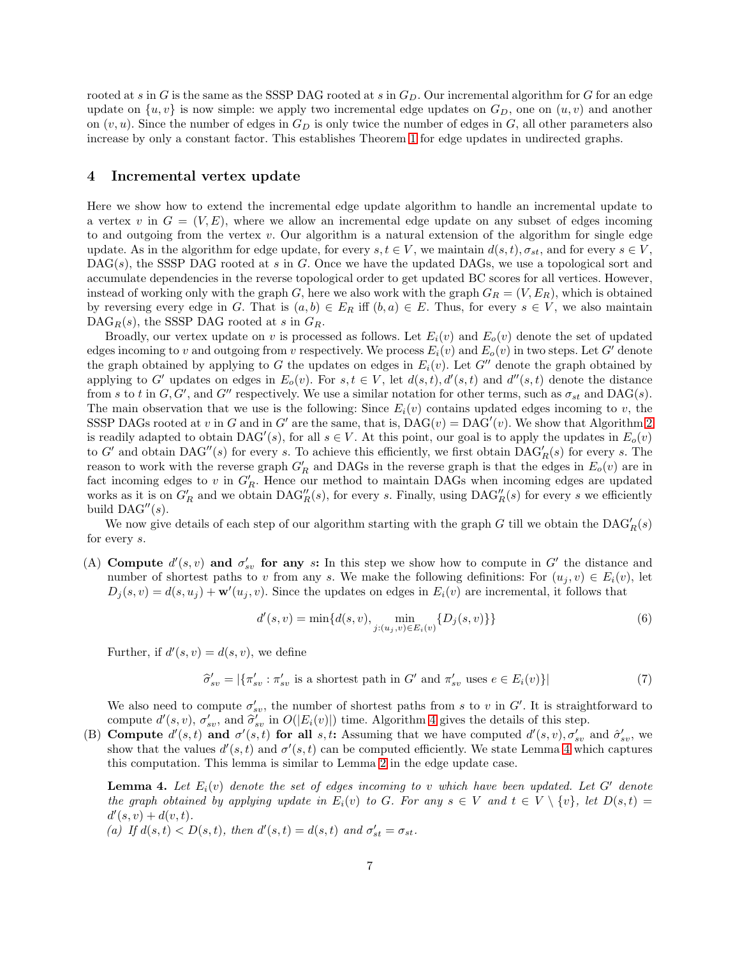rooted at s in G is the same as the SSSP DAG rooted at s in  $G<sub>D</sub>$ . Our incremental algorithm for G for an edge update on  $\{u, v\}$  is now simple: we apply two incremental edge updates on  $G_D$ , one on  $(u, v)$  and another on  $(v, u)$ . Since the number of edges in  $G_D$  is only twice the number of edges in G, all other parameters also increase by only a constant factor. This establishes Theorem [1](#page-0-0) for edge updates in undirected graphs.

#### 4 Incremental vertex update

Here we show how to extend the incremental edge update algorithm to handle an incremental update to a vertex v in  $G = (V, E)$ , where we allow an incremental edge update on any subset of edges incoming to and outgoing from the vertex v. Our algorithm is a natural extension of the algorithm for single edge update. As in the algorithm for edge update, for every  $s, t \in V$ , we maintain  $d(s, t), \sigma_{st}$ , and for every  $s \in V$ ,  $\text{DAG}(s)$ , the SSSP DAG rooted at s in G. Once we have the updated DAGs, we use a topological sort and accumulate dependencies in the reverse topological order to get updated BC scores for all vertices. However, instead of working only with the graph G, here we also work with the graph  $G_R = (V, E_R)$ , which is obtained by reversing every edge in G. That is  $(a, b) \in E_R$  iff  $(b, a) \in E$ . Thus, for every  $s \in V$ , we also maintain  $\text{DAG}_R(s)$ , the SSSP DAG rooted at s in  $G_R$ .

Broadly, our vertex update on v is processed as follows. Let  $E_i(v)$  and  $E_o(v)$  denote the set of updated edges incoming to v and outgoing from v respectively. We process  $E_i(v)$  and  $E_o(v)$  in two steps. Let G' denote the graph obtained by applying to G the updates on edges in  $E_i(v)$ . Let G'' denote the graph obtained by applying to G' updates on edges in  $E_o(v)$ . For  $s, t \in V$ , let  $d(s,t), d'(s,t)$  and  $d''(s,t)$  denote the distance from s to t in  $G, G'$ , and  $G''$  respectively. We use a similar notation for other terms, such as  $\sigma_{st}$  and DAG(s). The main observation that we use is the following: Since  $E_i(v)$  contains updated edges incoming to v, the SSSP DAGs rooted at v in G and in G' are the same, that is,  $DAG(v) = DAG'(v)$ . We show that Algorithm [2](#page-4-0) is readily adapted to obtain  $DAG'(s)$ , for all  $s \in V$ . At this point, our goal is to apply the updates in  $E_o(v)$ to G' and obtain  $DAG''(s)$  for every s. To achieve this efficiently, we first obtain  $DAG'_R(s)$  for every s. The reason to work with the reverse graph  $G'_R$  and DAGs in the reverse graph is that the edges in  $E_o(v)$  are in fact incoming edges to v in  $G'_R$ . Hence our method to maintain DAGs when incoming edges are updated works as it is on  $G'_R$  and we obtain  $\text{DAG}''_R(s)$ , for every s. Finally, using  $\text{DAG}''_R(s)$  for every s we efficiently build  $\text{DAG}''(s)$ .

We now give details of each step of our algorithm starting with the graph G till we obtain the  $\text{DAG}'_R(s)$ for every s.

(A) Compute  $d'(s, v)$  and  $\sigma'_{sv}$  for any s: In this step we show how to compute in G' the distance and number of shortest paths to v from any s. We make the following definitions: For  $(u_j, v) \in E_i(v)$ , let  $D_j(s, v) = d(s, u_j) + \mathbf{w}'(u_j, v)$ . Since the updates on edges in  $E_i(v)$  are incremental, it follows that

<span id="page-6-0"></span>
$$
d'(s,v) = \min\{d(s,v), \min_{j:(u_j,v) \in E_i(v)} \{D_j(s,v)\}\}\tag{6}
$$

Further, if  $d'(s, v) = d(s, v)$ , we define

$$
\widehat{\sigma}'_{sv} = |\{\pi'_{sv} : \pi'_{sv} \text{ is a shortest path in } G' \text{ and } \pi'_{sv} \text{ uses } e \in E_i(v)\}|
$$
\n(7)

We also need to compute  $\sigma'_{sv}$ , the number of shortest paths from s to v in G'. It is straightforward to compute  $d'(s, v)$ ,  $\sigma'_{sv}$ , and  $\hat{\sigma}'_{sv}$  in  $O(|E_i(v)|)$  time. Algorithm [4](#page-7-0) gives the details of this step.

(B) Compute  $d'(s,t)$  and  $\sigma'(s,t)$  for all s, t: Assuming that we have computed  $d'(s,v)$ ,  $\sigma'_{sv}$  and  $\hat{\sigma}'_{sv}$ , we show that the values  $d'(s,t)$  and  $\sigma'(s,t)$  can be computed efficiently. We state Lemma [4](#page-6-0) which captures this computation. This lemma is similar to Lemma [2](#page-3-3) in the edge update case.

**Lemma 4.** Let  $E_i(v)$  denote the set of edges incoming to v which have been updated. Let  $G'$  denote *the graph obtained by applying update in*  $E_i(v)$  *to* G. For any  $s \in V$  and  $t \in V \setminus \{v\}$ , let  $D(s,t)$  $d'(s, v) + d(v, t)$ .

(a) If  $d(s,t) < D(s,t)$ , then  $d'(s,t) = d(s,t)$  and  $\sigma'_{st} = \sigma_{st}$ .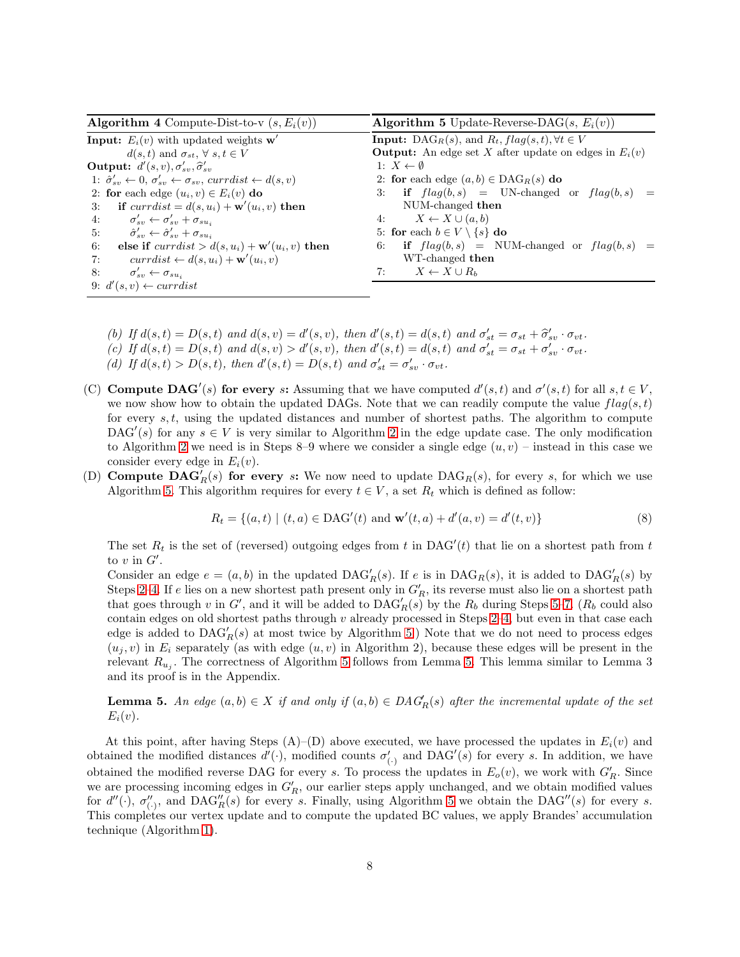<span id="page-7-2"></span><span id="page-7-1"></span><span id="page-7-0"></span>

| <b>Algorithm 4</b> Compute-Dist-to-v $(s, E_i(v))$                                                       | <b>Algorithm 5</b> Update-Reverse-DAG(s, $E_i(v)$ )                              |
|----------------------------------------------------------------------------------------------------------|----------------------------------------------------------------------------------|
| <b>Input:</b> $E_i(v)$ with updated weights <b>w'</b>                                                    | <b>Input:</b> DAG <sub>R</sub> (s), and $R_t$ , $flag(s, t)$ , $\forall t \in V$ |
| $d(s,t)$ and $\sigma_{st}$ , $\forall s,t \in V$                                                         | <b>Output:</b> An edge set X after update on edges in $E_i(v)$                   |
| <b>Output:</b> $d'(s, v), \sigma'_{sv}, \hat{\sigma}'_{sv}$                                              | 1: $X \leftarrow \emptyset$                                                      |
| 1: $\hat{\sigma}_{sv}' \leftarrow 0, \sigma_{sv}' \leftarrow \sigma_{sv},$ currdist $\leftarrow d(s, v)$ | 2: for each edge $(a, b) \in \text{DAG}_R(s)$ do                                 |
| 2: for each edge $(u_i, v) \in E_i(v)$ do                                                                | 3: if $flag(b, s)$ = UN-changed or $flag(b, s)$ =                                |
| 3: if $curr dist = d(s, u_i) + \mathbf{w}'(u_i, v)$ then                                                 | NUM-changed then                                                                 |
| 4: $\sigma'_{sv} \leftarrow \sigma'_{sv} + \sigma_{su_i}$                                                | 4: $X \leftarrow X \cup (a, b)$                                                  |
| 5: $\hat{\sigma}_{sv}^{\prime} \leftarrow \hat{\sigma}_{sv}^{\prime} + \sigma_{su_i}$                    | 5: for each $b \in V \setminus \{s\}$ do                                         |
| else if $currdist > d(s, u_i) + \mathbf{w}'(u_i, v)$ then<br>6:                                          | 6: if $flag(b, s)$ = NUM-changed or $flag(b, s)$ =                               |
| $curr dist \leftarrow d(s, u_i) + \mathbf{w}'(u_i, v)$<br>7:                                             | WT-changed then                                                                  |
| 8:<br>$\sigma'_{sn} \leftarrow \sigma_{su}$                                                              | $X \leftarrow X \cup R_h$<br>7:                                                  |
| 9: $d'(s, v) \leftarrow currdist$                                                                        |                                                                                  |

- <span id="page-7-5"></span><span id="page-7-4"></span><span id="page-7-3"></span>(b) If  $d(s, t) = D(s, t)$  and  $d(s, v) = d'(s, v)$ , then  $d'(s, t) = d(s, t)$  and  $\sigma'_{st} = \sigma_{st} + \hat{\sigma}'_{sv} \cdot \sigma_{vt}$ .
- (c) If  $d(s,t) = D(s,t)$  and  $d(s,v) > d'(s,v)$ , then  $d'(s,t) = d(s,t)$  and  $\sigma'_{st} = \sigma_{st} + \sigma'_{sv} \cdot \sigma_{vt}$ .
- (d) If  $d(s,t) > D(s,t)$ , then  $d'(s,t) = D(s,t)$  and  $\sigma'_{st} = \sigma'_{sv} \cdot \sigma_{vt}$ .
- (C) **Compute DAG'**(s) for every s: Assuming that we have computed  $d'(s,t)$  and  $\sigma'(s,t)$  for all  $s,t \in V$ , we now show how to obtain the updated DAGs. Note that we can readily compute the value  $flag(s, t)$ for every  $s, t$ , using the updated distances and number of shortest paths. The algorithm to compute DAG'(s) for any  $s \in V$  is very similar to Algorithm [2](#page-4-0) in the edge update case. The only modification to Algorithm [2](#page-4-0) we need is in Steps 8–9 where we consider a single edge  $(u, v)$  – instead in this case we consider every edge in  $E_i(v)$ .
- (D) Compute  $\mathbf{DAG}'_R(s)$  for every s: We now need to update  $\mathrm{DAG}_R(s)$ , for every s, for which we use Algorithm [5.](#page-7-1) This algorithm requires for every  $t \in V$ , a set  $R_t$  which is defined as follow:

<span id="page-7-6"></span>
$$
R_t = \{(a, t) \mid (t, a) \in \text{DAG}'(t) \text{ and } \mathbf{w}'(t, a) + d'(a, v) = d'(t, v)\}\
$$
\n(8)

The set  $R_t$  is the set of (reversed) outgoing edges from t in DAG'(t) that lie on a shortest path from t to  $v$  in  $G'$ .

Consider an edge  $e = (a, b)$  in the updated  $\text{DAG}'_R(s)$ . If e is in  $\text{DAG}_R(s)$ , it is added to  $\text{DAG}'_R(s)$  by Steps [2](#page-7-2)[–4.](#page-7-3) If e lies on a new shortest path present only in  $G'_R$ , its reverse must also lie on a shortest path that goes through v in G', and it will be added to  $\text{DAG}'_R(s)$  by the  $R_b$  during Steps [5](#page-7-4)[–7.](#page-7-5) ( $R_b$  could also contain edges on old shortest paths through  $v$  already processed in Steps [2–](#page-7-2)[4,](#page-7-3) but even in that case each edge is added to  $\text{DAG}'_R(s)$  at most twice by Algorithm [5.](#page-7-1)) Note that we do not need to process edges  $(u_i, v)$  in  $E_i$  separately (as with edge  $(u, v)$  in Algorithm 2), because these edges will be present in the relevant  $R_{u_j}$ . The correctness of Algorithm [5](#page-7-1) follows from Lemma [5.](#page-7-6) This lemma similar to Lemma 3 and its proof is in the Appendix.

**Lemma 5.** An edge  $(a, b) \in X$  if and only if  $(a, b) \in DAG_R(s)$  after the incremental update of the set  $E_i(v)$ .

At this point, after having Steps  $(A)$ –(D) above executed, we have processed the updates in  $E_i(v)$  and obtained the modified distances  $d'(\cdot)$ , modified counts  $\sigma'_{(\cdot)}$  and DAG'(s) for every s. In addition, we have obtained the modified reverse DAG for every s. To process the updates in  $E_o(v)$ , we work with  $G'_R$ . Since we are processing incoming edges in  $G'_R$ , our earlier steps apply unchanged, and we obtain modified values for  $d''(\cdot)$ ,  $\sigma''_{(\cdot)}$ , and  $\text{DAG}_R''(s)$  for every s. Finally, using Algorithm [5](#page-7-1) we obtain the  $\text{DAG}''(s)$  for every s. This completes our vertex update and to compute the updated BC values, we apply Brandes' accumulation technique (Algorithm [1\)](#page-3-1).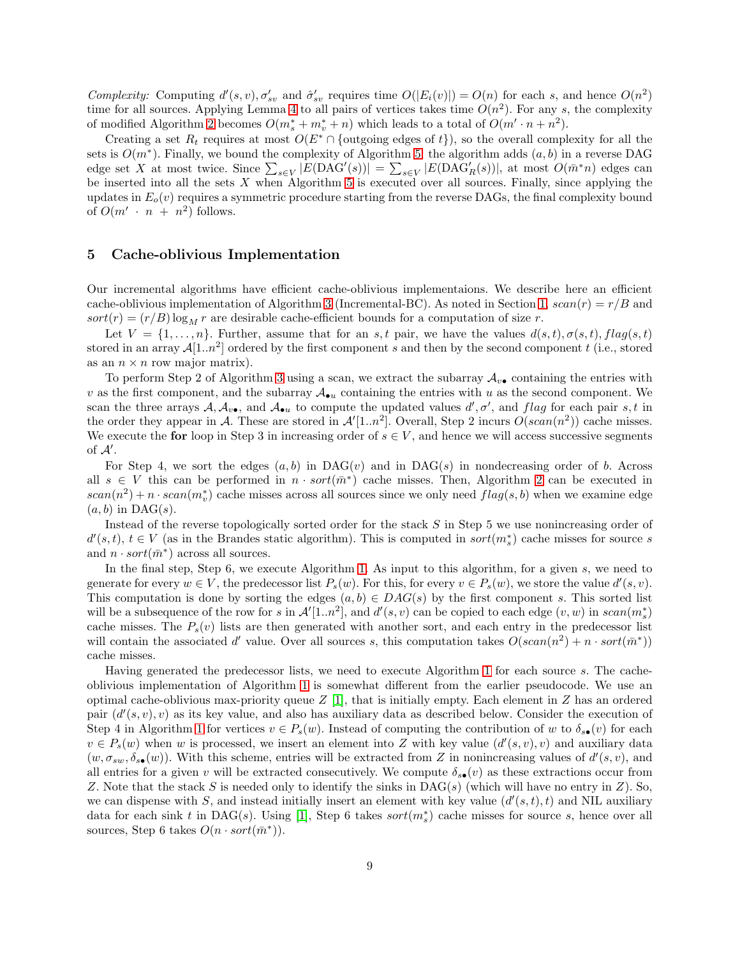*Complexity:* Computing  $d'(s, v), \sigma'_{sv}$  and  $\hat{\sigma}'_{sv}$  requires time  $O(|E_i(v)|) = O(n)$  for each s, and hence  $O(n^2)$ time for all sources. Applying Lemma [4](#page-6-0) to all pairs of vertices takes time  $O(n^2)$ . For any s, the complexity of modified Algorithm [2](#page-4-0) becomes  $O(m_s^* + m_v^* + n)$  which leads to a total of  $O(m' \cdot n + n^2)$ .

Creating a set  $R_t$  requires at most  $O(E^* \cap \{\text{outgoing edges of } t\})$ , so the overall complexity for all the sets is  $O(m^*)$ . Finally, we bound the complexity of Algorithm [5:](#page-7-1) the algorithm adds  $(a, b)$  in a reverse DAG edge set X at most twice. Since  $\sum_{s\in V} |E(\text{DAG}'(s))| = \sum_{s\in V} |E(\text{DAG}'_R(s))|$ , at most  $O(\bar{m}^*n)$  edges can be inserted into all the sets  $X$  when Algorithm [5](#page-7-1) is executed over all sources. Finally, since applying the updates in  $E_o(v)$  requires a symmetric procedure starting from the reverse DAGs, the final complexity bound of  $O(m' \cdot n + n^2)$  follows.

### <span id="page-8-0"></span>5 Cache-oblivious Implementation

Our incremental algorithms have efficient cache-oblivious implementaions. We describe here an efficient cache-oblivious implementation of Algorithm [3](#page-5-0) (Incremental-BC). As noted in Section [1,](#page-0-1)  $scan(r) = r/B$  and  $sort(r) = (r/B) \log_M r$  are desirable cache-efficient bounds for a computation of size r.

Let  $V = \{1, \ldots, n\}$ . Further, assume that for an s, t pair, we have the values  $d(s,t), \sigma(s,t), flag(s,t)$ stored in an array  $\mathcal{A}[1..n^2]$  ordered by the first component s and then by the second component t (i.e., stored as an  $n \times n$  row major matrix).

To perform Step 2 of Algorithm [3](#page-5-0) using a scan, we extract the subarray  $A_{v\bullet}$  containing the entries with v as the first component, and the subarray  $\mathcal{A}_{\bullet u}$  containing the entries with u as the second component. We scan the three arrays  $A, A_{v\bullet}$ , and  $A_{\bullet u}$  to compute the updated values  $d', \sigma'$ , and flag for each pair s, t in the order they appear in A. These are stored in  $\mathcal{A}'[1..n^2]$ . Overall, Step 2 incurs  $O(\operatorname{scan}(n^2))$  cache misses. We execute the for loop in Step 3 in increasing order of  $s \in V$ , and hence we will access successive segments of  $\mathcal{A}'$ .

For Step 4, we sort the edges  $(a, b)$  in DAG $(v)$  and in DAG $(s)$  in nondecreasing order of b. Across all  $s \in V$  this can be performed in  $n \cdot sort(m^*)$  cache misses. Then, Algorithm [2](#page-4-0) can be executed in  $scan(n^2) + n \cdot scan(m_v^*)$  cache misses across all sources since we only need  $flag(s, b)$  when we examine edge  $(a, b)$  in DAG(s).

Instead of the reverse topologically sorted order for the stack S in Step 5 we use nonincreasing order of  $d'(s,t)$ ,  $t \in V$  (as in the Brandes static algorithm). This is computed in sort $(m_s^*)$  cache misses for source s and  $n \cdot sort(\bar{m}^*)$  across all sources.

In the final step, Step 6, we execute Algorithm [1.](#page-3-1) As input to this algorithm, for a given s, we need to generate for every  $w \in V$ , the predecessor list  $P_s(w)$ . For this, for every  $v \in P_s(w)$ , we store the value  $d'(s, v)$ . This computation is done by sorting the edges  $(a, b) \in DAG(s)$  by the first component s. This sorted list will be a subsequence of the row for s in  $\mathcal{A}'[1..n^2]$ , and  $d'(s, v)$  can be copied to each edge  $(v, w)$  in  $scan(m_s^*)$ cache misses. The  $P_s(v)$  lists are then generated with another sort, and each entry in the predecessor list will contain the associated d' value. Over all sources s, this computation takes  $O(scan(n^2) + n \cdot sort(\bar{m}^*))$ cache misses.

Having generated the predecessor lists, we need to execute Algorithm [1](#page-3-1) for each source s. The cacheoblivious implementation of Algorithm [1](#page-3-1) is somewhat different from the earlier pseudocode. We use an optimal cache-oblivious max-priority queue  $Z$  [\[1\]](#page-10-22), that is initially empty. Each element in  $Z$  has an ordered pair  $(d'(s, v), v)$  as its key value, and also has auxiliary data as described below. Consider the execution of Step 4 in Algorithm [1](#page-3-1) for vertices  $v \in P_s(w)$ . Instead of computing the contribution of w to  $\delta_{s\bullet}(v)$  for each  $v \in P_s(w)$  when w is processed, we insert an element into Z with key value  $(d'(s, v), v)$  and auxiliary data  $(w, \sigma_{sw}, \delta_{ss}(w))$ . With this scheme, entries will be extracted from Z in nonincreasing values of  $d'(s, v)$ , and all entries for a given v will be extracted consecutively. We compute  $\delta_{s\bullet}(v)$  as these extractions occur from Z. Note that the stack S is needed only to identify the sinks in DAG(s) (which will have no entry in  $Z$ ). So, we can dispense with S, and instead initially insert an element with key value  $(d'(s,t), t)$  and NIL auxiliary data for each sink t in DAG(s). Using [\[1\]](#page-10-22), Step 6 takes  $sort(m_s^*)$  cache misses for source s, hence over all sources, Step 6 takes  $O(n \cdot sort(\bar{m}^*)$ .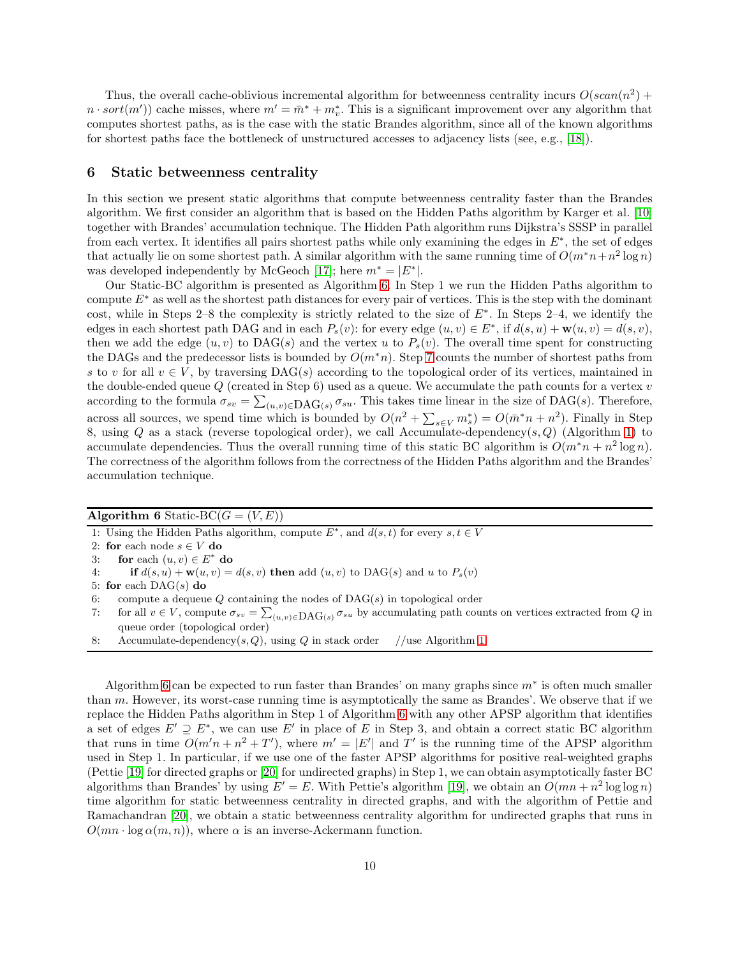Thus, the overall cache-oblivious incremental algorithm for betweenness centrality incurs  $O(scan(n^2) +$  $n \cdot sort(m')$  cache misses, where  $m' = \bar{m}^* + m_v^*$ . This is a significant improvement over any algorithm that computes shortest paths, as is the case with the static Brandes algorithm, since all of the known algorithms for shortest paths face the bottleneck of unstructured accesses to adjacency lists (see, e.g., [\[18\]](#page-10-9)).

### <span id="page-9-0"></span>6 Static betweenness centrality

In this section we present static algorithms that compute betweenness centrality faster than the Brandes algorithm. We first consider an algorithm that is based on the Hidden Paths algorithm by Karger et al. [\[10\]](#page-10-5) together with Brandes' accumulation technique. The Hidden Path algorithm runs Dijkstra's SSSP in parallel from each vertex. It identifies all pairs shortest paths while only examining the edges in  $E^*$ , the set of edges that actually lie on some shortest path. A similar algorithm with the same running time of  $O(m^*n+n^2\log n)$ was developed independently by McGeoch [\[17\]](#page-10-23); here  $m^* = |E^*|$ .

Our Static-BC algorithm is presented as Algorithm [6.](#page-9-1) In Step 1 we run the Hidden Paths algorithm to compute  $E^*$  as well as the shortest path distances for every pair of vertices. This is the step with the dominant cost, while in Steps 2–8 the complexity is strictly related to the size of  $E^*$ . In Steps 2–4, we identify the edges in each shortest path DAG and in each  $P_s(v)$ : for every edge  $(u, v) \in E^*$ , if  $d(s, u) + \mathbf{w}(u, v) = d(s, v)$ , then we add the edge  $(u, v)$  to DAG(s) and the vertex u to  $P_s(v)$ . The overall time spent for constructing the DAGs and the predecessor lists is bounded by  $O(m*n)$ . Step [7](#page-9-2) counts the number of shortest paths from s to v for all  $v \in V$ , by traversing DAG(s) according to the topological order of its vertices, maintained in the double-ended queue  $Q$  (created in Step 6) used as a queue. We accumulate the path counts for a vertex  $v$ according to the formula  $\sigma_{sv} = \sum_{(u,v)\in {\rm DAG}(s)} \sigma_{su}$ . This takes time linear in the size of DAG(s). Therefore, across all sources, we spend time which is bounded by  $O(n^2 + \sum_{s \in V} m_s^*) = O(m^*n + n^2)$ . Finally in Step 8, using Q as a stack (reverse topological order), we call Accumulate-dependency(s, Q) (Algorithm [1\)](#page-3-1) to accumulate dependencies. Thus the overall running time of this static BC algorithm is  $O(m^*n + n^2 \log n)$ . The correctness of the algorithm follows from the correctness of the Hidden Paths algorithm and the Brandes' accumulation technique.

#### <span id="page-9-1"></span>Algorithm 6 Static-BC( $G = (V, E)$ )

1: Using the Hidden Paths algorithm, compute  $E^*$ , and  $d(s,t)$  for every  $s,t \in V$ 

2: for each node  $s \in V$  do

3: for each  $(u, v) \in E^*$  do

4: if 
$$
d(s, u) + \mathbf{w}(u, v) = d(s, v)
$$
 then add  $(u, v)$  to DAG(s) and u to  $P_s(v)$ 

5: for each  $\text{DAG}(s)$  do

6: compute a dequeue  $Q$  containing the nodes of  $\text{DAG}(s)$  in topological order

<span id="page-9-2"></span>7: for all  $v \in V$ , compute  $\sigma_{sv} = \sum_{(u,v)\in {\rm DAG}(s)}^{\infty} \sigma_{su}$  by accumulating path counts on vertices extracted from Q in queue order (topological order)

8: Accumulate-dependency(s, Q), using Q in stack order //use Algorithm [1](#page-3-1)

Algorithm [6](#page-9-1) can be expected to run faster than Brandes' on many graphs since  $m^*$  is often much smaller than  $m$ . However, its worst-case running time is asymptotically the same as Brandes'. We observe that if we replace the Hidden Paths algorithm in Step 1 of Algorithm [6](#page-9-1) with any other APSP algorithm that identifies a set of edges  $E' \supseteq E^*$ , we can use E' in place of E in Step 3, and obtain a correct static BC algorithm that runs in time  $O(m'n + n^2 + T')$ , where  $m' = |E'|$  and T' is the running time of the APSP algorithm used in Step 1. In particular, if we use one of the faster APSP algorithms for positive real-weighted graphs (Pettie [\[19\]](#page-10-10) for directed graphs or [\[20\]](#page-10-11) for undirected graphs) in Step 1, we can obtain asymptotically faster BC algorithms than Brandes' by using  $E' = E$ . With Pettie's algorithm [\[19\]](#page-10-10), we obtain an  $O(mn + n^2 \log \log n)$ time algorithm for static betweenness centrality in directed graphs, and with the algorithm of Pettie and Ramachandran [\[20\]](#page-10-11), we obtain a static betweenness centrality algorithm for undirected graphs that runs in  $O(mn \cdot \log \alpha(m, n))$ , where  $\alpha$  is an inverse-Ackermann function.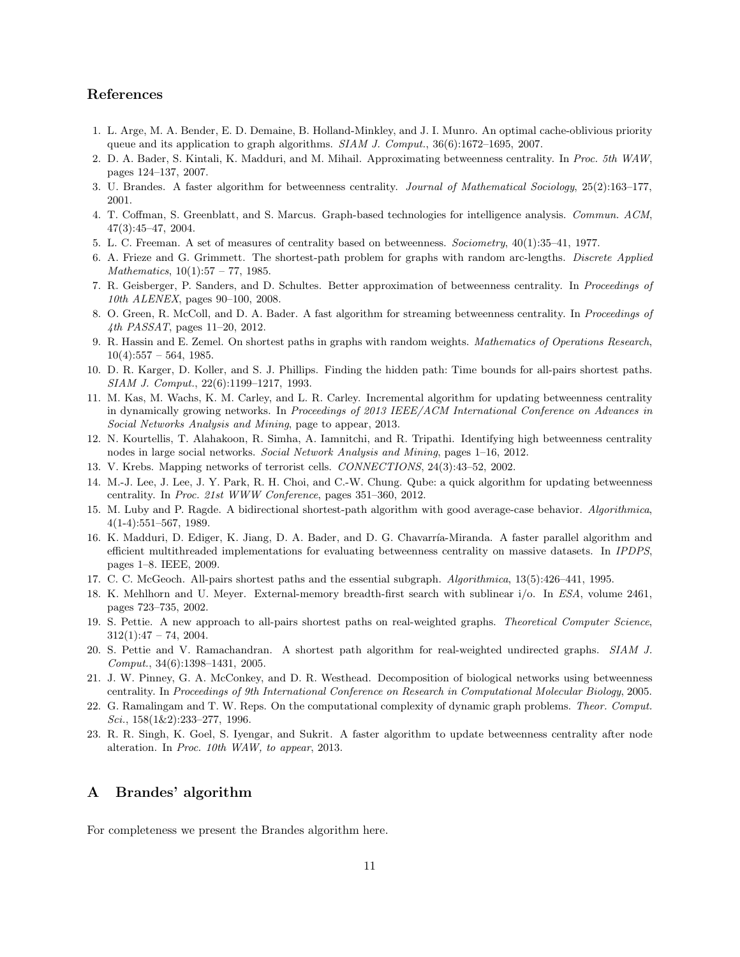# References

- <span id="page-10-22"></span><span id="page-10-13"></span>1. L. Arge, M. A. Bender, E. D. Demaine, B. Holland-Minkley, and J. I. Munro. An optimal cache-oblivious priority queue and its application to graph algorithms. SIAM J. Comput., 36(6):1672–1695, 2007.
- <span id="page-10-4"></span>2. D. A. Bader, S. Kintali, K. Madduri, and M. Mihail. Approximating betweenness centrality. In Proc. 5th WAW, pages 124–137, 2007.
- <span id="page-10-3"></span>3. U. Brandes. A faster algorithm for betweenness centrality. Journal of Mathematical Sociology, 25(2):163–177, 2001.
- <span id="page-10-12"></span>4. T. Coffman, S. Greenblatt, and S. Marcus. Graph-based technologies for intelligence analysis. Commun. ACM, 47(3):45–47, 2004.
- <span id="page-10-6"></span>5. L. C. Freeman. A set of measures of centrality based on betweenness. Sociometry, 40(1):35–41, 1977.
- <span id="page-10-14"></span>6. A. Frieze and G. Grimmett. The shortest-path problem for graphs with random arc-lengths. Discrete Applied  $Mathematics, 10(1):57 - 77, 1985.$
- <span id="page-10-20"></span>7. R. Geisberger, P. Sanders, and D. Schultes. Better approximation of betweenness centrality. In Proceedings of 10th ALENEX, pages 90–100, 2008.
- <span id="page-10-7"></span>8. O. Green, R. McColl, and D. A. Bader. A fast algorithm for streaming betweenness centrality. In Proceedings of 4th *PASSAT*, pages 11–20, 2012.
- 9. R. Hassin and E. Zemel. On shortest paths in graphs with random weights. Mathematics of Operations Research,  $10(4):557 - 564, 1985.$
- <span id="page-10-18"></span><span id="page-10-5"></span>10. D. R. Karger, D. Koller, and S. J. Phillips. Finding the hidden path: Time bounds for all-pairs shortest paths. SIAM J. Comput., 22(6):1199–1217, 1993.
- 11. M. Kas, M. Wachs, K. M. Carley, and L. R. Carley. Incremental algorithm for updating betweenness centrality in dynamically growing networks. In Proceedings of 2013 IEEE/ACM International Conference on Advances in Social Networks Analysis and Mining, page to appear, 2013.
- <span id="page-10-2"></span><span id="page-10-0"></span>12. N. Kourtellis, T. Alahakoon, R. Simha, A. Iamnitchi, and R. Tripathi. Identifying high betweenness centrality nodes in large social networks. Social Network Analysis and Mining, pages 1–16, 2012.
- <span id="page-10-16"></span>13. V. Krebs. Mapping networks of terrorist cells. CONNECTIONS, 24(3):43–52, 2002.
- 14. M.-J. Lee, J. Lee, J. Y. Park, R. H. Choi, and C.-W. Chung. Qube: a quick algorithm for updating betweenness centrality. In Proc. 21st WWW Conference, pages 351–360, 2012.
- <span id="page-10-8"></span>15. M. Luby and P. Ragde. A bidirectional shortest-path algorithm with good average-case behavior. Algorithmica, 4(1-4):551–567, 1989.
- <span id="page-10-15"></span>16. K. Madduri, D. Ediger, K. Jiang, D. A. Bader, and D. G. Chavarr´ıa-Miranda. A faster parallel algorithm and efficient multithreaded implementations for evaluating betweenness centrality on massive datasets. In IPDPS, pages 1–8. IEEE, 2009.
- <span id="page-10-23"></span><span id="page-10-9"></span>17. C. C. McGeoch. All-pairs shortest paths and the essential subgraph. Algorithmica, 13(5):426–441, 1995.
- 18. K. Mehlhorn and U. Meyer. External-memory breadth-first search with sublinear i/o. In ESA, volume 2461, pages 723–735, 2002.
- <span id="page-10-10"></span>19. S. Pettie. A new approach to all-pairs shortest paths on real-weighted graphs. Theoretical Computer Science,  $312(1):47 - 74, 2004.$
- <span id="page-10-11"></span>20. S. Pettie and V. Ramachandran. A shortest path algorithm for real-weighted undirected graphs. SIAM J. Comput., 34(6):1398–1431, 2005.
- <span id="page-10-1"></span>21. J. W. Pinney, G. A. McConkey, and D. R. Westhead. Decomposition of biological networks using betweenness centrality. In Proceedings of 9th International Conference on Research in Computational Molecular Biology, 2005.
- <span id="page-10-19"></span>22. G. Ramalingam and T. W. Reps. On the computational complexity of dynamic graph problems. Theor. Comput.  $Sci., 158(1\&2):233-277, 1996.$
- <span id="page-10-17"></span>23. R. R. Singh, K. Goel, S. Iyengar, and Sukrit. A faster algorithm to update betweenness centrality after node alteration. In Proc. 10th WAW, to appear, 2013.

# <span id="page-10-21"></span>A Brandes' algorithm

For completeness we present the Brandes algorithm here.